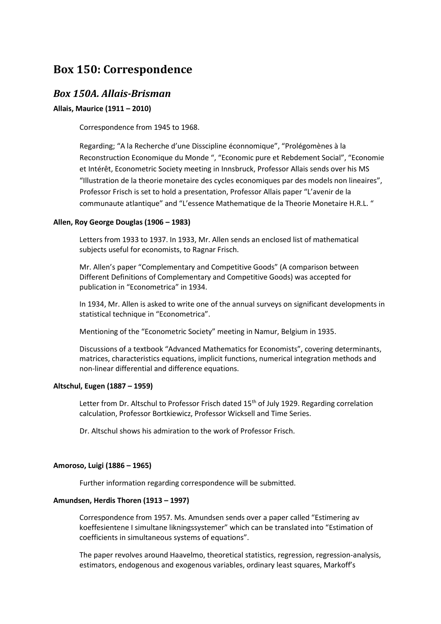# **Box 150: Correspondence**

# *Box 150A. Allais-Brisman*

# **Allais, Maurice (1911 – 2010)**

Correspondence from 1945 to 1968.

Regarding; "A la Recherche d'une Disscipline éconnomique", "Prolégomènes à la Reconstruction Economique du Monde ", "Economic pure et Rebdement Social", "Economie et Intérêt, Econometric Society meeting in Innsbruck, Professor Allais sends over his MS "Illustration de la theorie monetaire des cycles economiques par des models non lineaires", Professor Frisch is set to hold a presentation, Professor Allais paper "L'avenir de la communaute atlantique" and "L'essence Mathematique de la Theorie Monetaire H.R.L. "

# **Allen, Roy George Douglas (1906 – 1983)**

Letters from 1933 to 1937. In 1933, Mr. Allen sends an enclosed list of mathematical subjects useful for economists, to Ragnar Frisch.

Mr. Allen's paper "Complementary and Competitive Goods" (A comparison between Different Definitions of Complementary and Competitive Goods) was accepted for publication in "Econometrica" in 1934.

In 1934, Mr. Allen is asked to write one of the annual surveys on significant developments in statistical technique in "Econometrica".

Mentioning of the "Econometric Society" meeting in Namur, Belgium in 1935.

Discussions of a textbook "Advanced Mathematics for Economists", covering determinants, matrices, characteristics equations, implicit functions, numerical integration methods and non-linear differential and difference equations.

# **Altschul, Eugen (1887 – 1959)**

Letter from Dr. Altschul to Professor Frisch dated 15<sup>th</sup> of July 1929. Regarding correlation calculation, Professor Bortkiewicz, Professor Wicksell and Time Series.

Dr. Altschul shows his admiration to the work of Professor Frisch.

#### **Amoroso, Luigi (1886 – 1965)**

Further information regarding correspondence will be submitted.

# **Amundsen, Herdis Thoren (1913 – 1997)**

Correspondence from 1957. Ms. Amundsen sends over a paper called "Estimering av koeffesientene I simultane likningssystemer" which can be translated into "Estimation of coefficients in simultaneous systems of equations".

The paper revolves around Haavelmo, theoretical statistics, regression, regression-analysis, estimators, endogenous and exogenous variables, ordinary least squares, Markoff's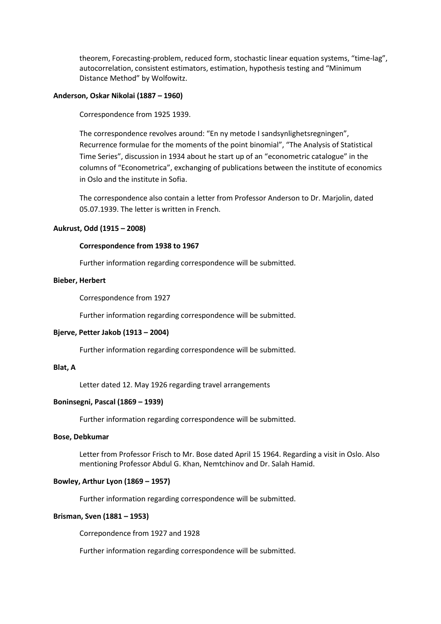theorem, Forecasting-problem, reduced form, stochastic linear equation systems, "time-lag", autocorrelation, consistent estimators, estimation, hypothesis testing and "Minimum Distance Method" by Wolfowitz.

# **Anderson, Oskar Nikolai (1887 – 1960)**

Correspondence from 1925 1939.

The correspondence revolves around: "En ny metode I sandsynlighetsregningen", Recurrence formulae for the moments of the point binomial", "The Analysis of Statistical Time Series", discussion in 1934 about he start up of an "econometric catalogue" in the columns of "Econometrica", exchanging of publications between the institute of economics in Oslo and the institute in Sofia.

The correspondence also contain a letter from Professor Anderson to Dr. Marjolin, dated 05.07.1939. The letter is written in French.

# **Aukrust, Odd (1915 – 2008)**

#### **Correspondence from 1938 to 1967**

Further information regarding correspondence will be submitted.

#### **Bieber, Herbert**

Correspondence from 1927

Further information regarding correspondence will be submitted.

# **Bjerve, Petter Jakob (1913 – 2004)**

Further information regarding correspondence will be submitted.

#### **Blat, A**

Letter dated 12. May 1926 regarding travel arrangements

# **Boninsegni, Pascal (1869 – 1939)**

Further information regarding correspondence will be submitted.

#### **Bose, Debkumar**

Letter from Professor Frisch to Mr. Bose dated April 15 1964. Regarding a visit in Oslo. Also mentioning Professor Abdul G. Khan, Nemtchinov and Dr. Salah Hamid.

# **Bowley, Arthur Lyon (1869 – 1957)**

Further information regarding correspondence will be submitted.

# **Brisman, Sven (1881 – 1953)**

Correpondence from 1927 and 1928

Further information regarding correspondence will be submitted.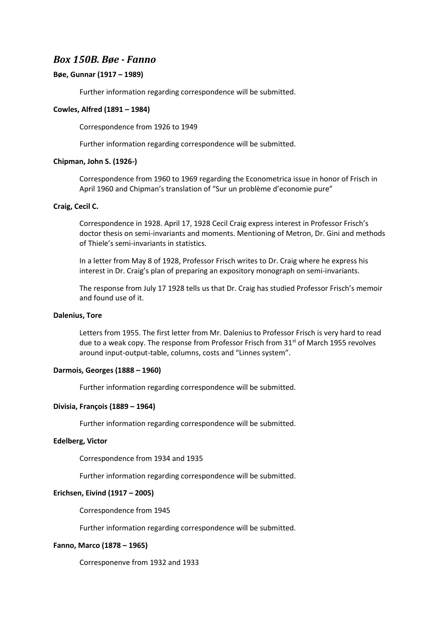# *Box 150B. Bøe - Fanno*

# **Bøe, Gunnar (1917 – 1989)**

Further information regarding correspondence will be submitted.

### **Cowles, Alfred (1891 – 1984)**

Correspondence from 1926 to 1949

Further information regarding correspondence will be submitted.

#### **Chipman, John S. (1926-)**

Correspondence from 1960 to 1969 regarding the Econometrica issue in honor of Frisch in April 1960 and Chipman's translation of "Sur un problème d'economie pure"

# **Craig, Cecil C.**

Correspondence in 1928. April 17, 1928 Cecil Craig express interest in Professor Frisch's doctor thesis on semi-invariants and moments. Mentioning of Metron, Dr. Gini and methods of Thiele's semi-invariants in statistics.

In a letter from May 8 of 1928, Professor Frisch writes to Dr. Craig where he express his interest in Dr. Craig's plan of preparing an expository monograph on semi-invariants.

The response from July 17 1928 tells us that Dr. Craig has studied Professor Frisch's memoir and found use of it.

#### **Dalenius, Tore**

Letters from 1955. The first letter from Mr. Dalenius to Professor Frisch is very hard to read due to a weak copy. The response from Professor Frisch from  $31<sup>st</sup>$  of March 1955 revolves around input-output-table, columns, costs and "Linnes system".

#### **Darmois, Georges (1888 – 1960)**

Further information regarding correspondence will be submitted.

#### **Divisia, François (1889 – 1964)**

Further information regarding correspondence will be submitted.

#### **Edelberg, Victor**

Correspondence from 1934 and 1935

Further information regarding correspondence will be submitted.

#### **Erichsen, Eivind (1917 – 2005)**

Correspondence from 1945

Further information regarding correspondence will be submitted.

#### **Fanno, Marco (1878 – 1965)**

Corresponenve from 1932 and 1933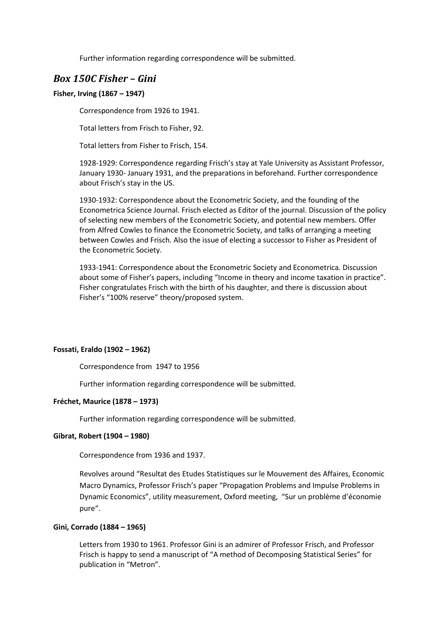Further information regarding correspondence will be submitted.

# *Box 150C Fisher – Gini*

# **Fisher, Irving (1867 – 1947)**

Correspondence from 1926 to 1941.

Total letters from Frisch to Fisher, 92.

Total letters from Fisher to Frisch, 154.

1928-1929: Correspondence regarding Frisch's stay at Yale University as Assistant Professor, January 1930- January 1931, and the preparations in beforehand. Further correspondence about Frisch's stay in the US.

1930-1932: Correspondence about the Econometric Society, and the founding of the Econometrica Science Journal. Frisch elected as Editor of the journal. Discussion of the policy of selecting new members of the Econometric Society, and potential new members. Offer from Alfred Cowles to finance the Econometric Society, and talks of arranging a meeting between Cowles and Frisch. Also the issue of electing a successor to Fisher as President of the Econometric Society.

1933-1941: Correspondence about the Econometric Society and Econometrica. Discussion about some of Fisher's papers, including "Income in theory and income taxation in practice". Fisher congratulates Frisch with the birth of his daughter, and there is discussion about Fisher's "100% reserve" theory/proposed system.

# **Fossati, Eraldo (1902 – 1962)**

Correspondence from 1947 to 1956

Further information regarding correspondence will be submitted.

# **Fréchet, Maurice (1878 – 1973)**

Further information regarding correspondence will be submitted.

# **Gibrat, Robert (1904 – 1980)**

Correspondence from 1936 and 1937.

Revolves around "Resultat des Etudes Statistiques sur le Mouvement des Affaires, Economic Macro Dynamics, Professor Frisch's paper "Propagation Problems and Impulse Problems in Dynamic Economics", utility measurement, Oxford meeting, "Sur un problème d'économie pure".

# **Gini, Corrado (1884 – 1965)**

Letters from 1930 to 1961. Professor Gini is an admirer of Professor Frisch, and Professor Frisch is happy to send a manuscript of "A method of Decomposing Statistical Series" for publication in "Metron".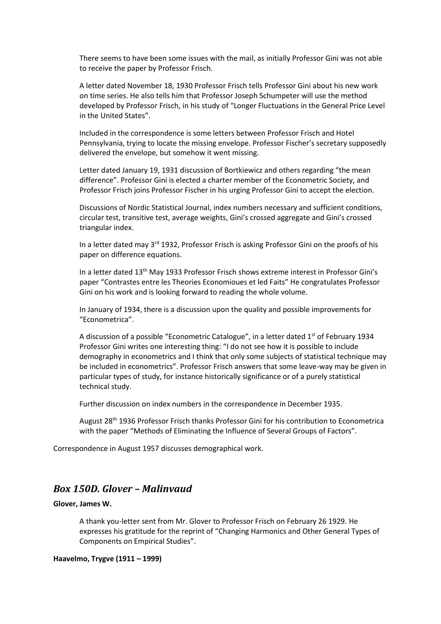There seems to have been some issues with the mail, as initially Professor Gini was not able to receive the paper by Professor Frisch.

A letter dated November 18, 1930 Professor Frisch tells Professor Gini about his new work on time series. He also tells him that Professor Joseph Schumpeter will use the method developed by Professor Frisch, in his study of "Longer Fluctuations in the General Price Level in the United States".

Included in the correspondence is some letters between Professor Frisch and Hotel Pennsylvania, trying to locate the missing envelope. Professor Fischer's secretary supposedly delivered the envelope, but somehow it went missing.

Letter dated January 19, 1931 discussion of Bortkiewicz and others regarding "the mean difference". Professor Gini is elected a charter member of the Econometric Society, and Professor Frisch joins Professor Fischer in his urging Professor Gini to accept the election.

Discussions of Nordic Statistical Journal, index numbers necessary and sufficient conditions, circular test, transitive test, average weights, Gini's crossed aggregate and Gini's crossed triangular index.

In a letter dated may 3<sup>rd</sup> 1932, Professor Frisch is asking Professor Gini on the proofs of his paper on difference equations.

In a letter dated 13<sup>th</sup> May 1933 Professor Frisch shows extreme interest in Professor Gini's paper "Contrastes entre les Theories Economioues et led Faits" He congratulates Professor Gini on his work and is looking forward to reading the whole volume.

In January of 1934, there is a discussion upon the quality and possible improvements for "Econometrica".

A discussion of a possible "Econometric Catalogue", in a letter dated  $1<sup>st</sup>$  of February 1934 Professor Gini writes one interesting thing: "I do not see how it is possible to include demography in econometrics and I think that only some subjects of statistical technique may be included in econometrics". Professor Frisch answers that some leave-way may be given in particular types of study, for instance historically significance or of a purely statistical technical study.

Further discussion on index numbers in the correspondence in December 1935.

August 28<sup>th</sup> 1936 Professor Frisch thanks Professor Gini for his contribution to Econometrica with the paper "Methods of Eliminating the Influence of Several Groups of Factors".

Correspondence in August 1957 discusses demographical work.

# *Box 150D. Glover – Malinvaud*

### **Glover, James W.**

A thank you-letter sent from Mr. Glover to Professor Frisch on February 26 1929. He expresses his gratitude for the reprint of "Changing Harmonics and Other General Types of Components on Empirical Studies".

# **Haavelmo, Trygve (1911 – 1999)**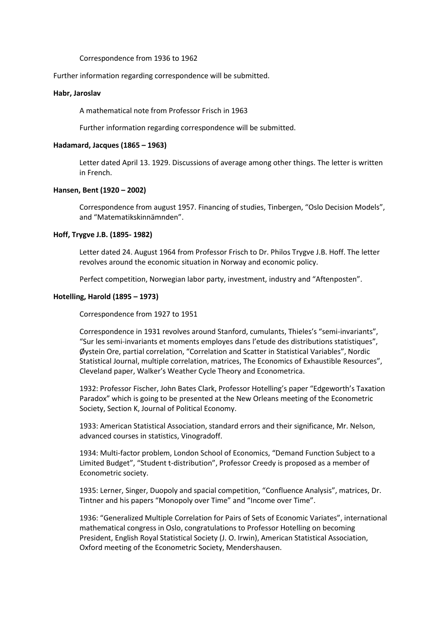#### Correspondence from 1936 to 1962

#### Further information regarding correspondence will be submitted.

#### **Habr, Jaroslav**

A mathematical note from Professor Frisch in 1963

Further information regarding correspondence will be submitted.

#### **Hadamard, Jacques (1865 – 1963)**

Letter dated April 13. 1929. Discussions of average among other things. The letter is written in French.

# **Hansen, Bent (1920 – 2002)**

Correspondence from august 1957. Financing of studies, Tinbergen, "Oslo Decision Models", and "Matematikskinnämnden".

#### **Hoff, Trygve J.B. (1895- 1982)**

Letter dated 24. August 1964 from Professor Frisch to Dr. Philos Trygve J.B. Hoff. The letter revolves around the economic situation in Norway and economic policy.

Perfect competition, Norwegian labor party, investment, industry and "Aftenposten".

# **Hotelling, Harold (1895 – 1973)**

Correspondence from 1927 to 1951

Correspondence in 1931 revolves around Stanford, cumulants, Thieles's "semi-invariants", "Sur les semi-invariants et moments employes dans l'etude des distributions statistiques", Øystein Ore, partial correlation, "Correlation and Scatter in Statistical Variables", Nordic Statistical Journal, multiple correlation, matrices, The Economics of Exhaustible Resources", Cleveland paper, Walker's Weather Cycle Theory and Econometrica.

1932: Professor Fischer, John Bates Clark, Professor Hotelling's paper "Edgeworth's Taxation Paradox" which is going to be presented at the New Orleans meeting of the Econometric Society, Section K, Journal of Political Economy.

1933: American Statistical Association, standard errors and their significance, Mr. Nelson, advanced courses in statistics, Vinogradoff.

1934: Multi-factor problem, London School of Economics, "Demand Function Subject to a Limited Budget", "Student t-distribution", Professor Creedy is proposed as a member of Econometric society.

1935: Lerner, Singer, Duopoly and spacial competition, "Confluence Analysis", matrices, Dr. Tintner and his papers "Monopoly over Time" and "Income over Time".

1936: "Generalized Multiple Correlation for Pairs of Sets of Economic Variates", international mathematical congress in Oslo, congratulations to Professor Hotelling on becoming President, English Royal Statistical Society (J. O. Irwin), American Statistical Association, Oxford meeting of the Econometric Society, Mendershausen.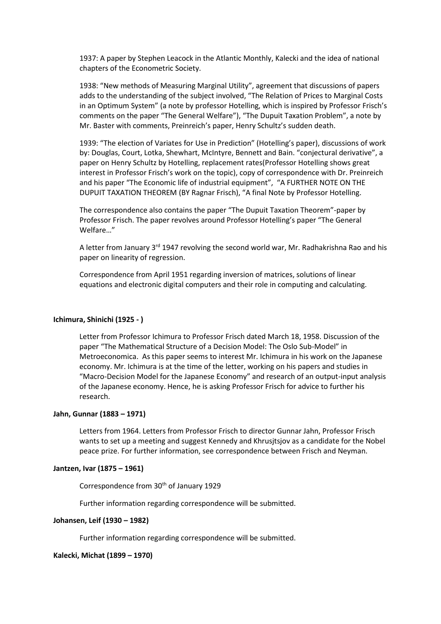1937: A paper by Stephen Leacock in the Atlantic Monthly, Kalecki and the idea of national chapters of the Econometric Society.

1938: "New methods of Measuring Marginal Utility", agreement that discussions of papers adds to the understanding of the subject involved, "The Relation of Prices to Marginal Costs in an Optimum System" (a note by professor Hotelling, which is inspired by Professor Frisch's comments on the paper "The General Welfare"), "The Dupuit Taxation Problem", a note by Mr. Baster with comments, Preinreich's paper, Henry Schultz's sudden death.

1939: "The election of Variates for Use in Prediction" (Hotelling's paper), discussions of work by: Douglas, Court, Lotka, Shewhart, McIntyre, Bennett and Bain. "conjectural derivative", a paper on Henry Schultz by Hotelling, replacement rates(Professor Hotelling shows great interest in Professor Frisch's work on the topic), copy of correspondence with Dr. Preinreich and his paper "The Economic life of industrial equipment", "A FURTHER NOTE ON THE DUPUIT TAXATION THEOREM (BY Ragnar Frisch), "A final Note by Professor Hotelling.

The correspondence also contains the paper "The Dupuit Taxation Theorem"-paper by Professor Frisch. The paper revolves around Professor Hotelling's paper "The General Welfare…"

A letter from January 3<sup>rd</sup> 1947 revolving the second world war, Mr. Radhakrishna Rao and his paper on linearity of regression.

Correspondence from April 1951 regarding inversion of matrices, solutions of linear equations and electronic digital computers and their role in computing and calculating.

# **Ichimura, Shinichi (1925 - )**

Letter from Professor Ichimura to Professor Frisch dated March 18, 1958. Discussion of the paper "The Mathematical Structure of a Decision Model: The Oslo Sub-Model" in Metroeconomica. As this paper seems to interest Mr. Ichimura in his work on the Japanese economy. Mr. Ichimura is at the time of the letter, working on his papers and studies in "Macro-Decision Model for the Japanese Economy" and research of an output-input analysis of the Japanese economy. Hence, he is asking Professor Frisch for advice to further his research.

#### **Jahn, Gunnar (1883 – 1971)**

Letters from 1964. Letters from Professor Frisch to director Gunnar Jahn, Professor Frisch wants to set up a meeting and suggest Kennedy and Khrusjtsjov as a candidate for the Nobel peace prize. For further information, see correspondence between Frisch and Neyman.

### **Jantzen, Ivar (1875 – 1961)**

Correspondence from 30<sup>th</sup> of January 1929

Further information regarding correspondence will be submitted.

#### **Johansen, Leif (1930 – 1982)**

Further information regarding correspondence will be submitted.

#### **Kalecki, Michat (1899 – 1970)**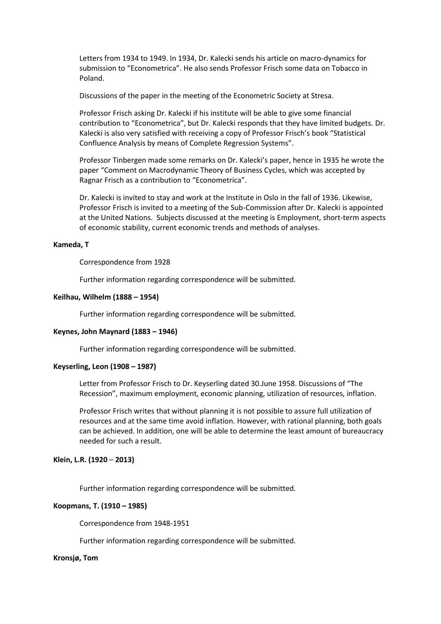Letters from 1934 to 1949. In 1934, Dr. Kalecki sends his article on macro-dynamics for submission to "Econometrica". He also sends Professor Frisch some data on Tobacco in Poland.

Discussions of the paper in the meeting of the Econometric Society at Stresa.

Professor Frisch asking Dr. Kalecki if his institute will be able to give some financial contribution to "Econometrica", but Dr. Kalecki responds that they have limited budgets. Dr. Kalecki is also very satisfied with receiving a copy of Professor Frisch's book "Statistical Confluence Analysis by means of Complete Regression Systems".

Professor Tinbergen made some remarks on Dr. Kalecki's paper, hence in 1935 he wrote the paper "Comment on Macrodynamic Theory of Business Cycles, which was accepted by Ragnar Frisch as a contribution to "Econometrica".

Dr. Kalecki is invited to stay and work at the Institute in Oslo in the fall of 1936. Likewise, Professor Frisch is invited to a meeting of the Sub-Commission after Dr. Kalecki is appointed at the United Nations. Subjects discussed at the meeting is Employment, short-term aspects of economic stability, current economic trends and methods of analyses.

## **Kameda, T**

Correspondence from 1928

Further information regarding correspondence will be submitted.

#### **Keilhau, Wilhelm (1888 – 1954)**

Further information regarding correspondence will be submitted.

#### **Keynes, John Maynard (1883 – 1946)**

Further information regarding correspondence will be submitted.

#### **Keyserling, Leon (1908 – 1987)**

Letter from Professor Frisch to Dr. Keyserling dated 30.June 1958. Discussions of "The Recession", maximum employment, economic planning, utilization of resources, inflation.

Professor Frisch writes that without planning it is not possible to assure full utilization of resources and at the same time avoid inflation. However, with rational planning, both goals can be achieved. In addition, one will be able to determine the least amount of bureaucracy needed for such a result.

#### **Klein, L.R. (1920** – **2013)**

Further information regarding correspondence will be submitted.

# **Koopmans, T. (1910 – 1985)**

Correspondence from 1948-1951

Further information regarding correspondence will be submitted.

#### **Kronsjø, Tom**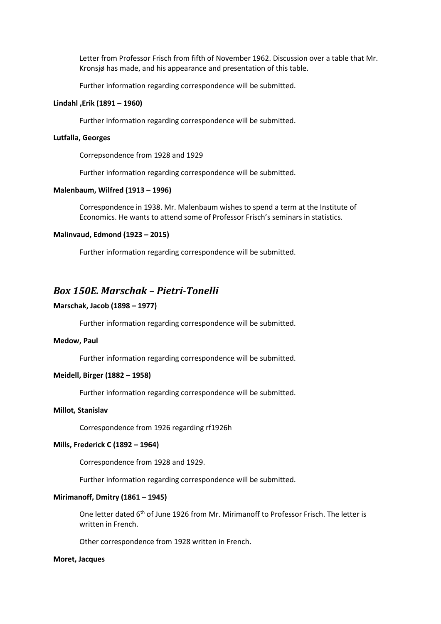Letter from Professor Frisch from fifth of November 1962. Discussion over a table that Mr. Kronsjø has made, and his appearance and presentation of this table.

Further information regarding correspondence will be submitted.

# **Lindahl ,Erik (1891 – 1960)**

Further information regarding correspondence will be submitted.

#### **Lutfalla, Georges**

Correpsondence from 1928 and 1929

Further information regarding correspondence will be submitted.

## **Malenbaum, Wilfred (1913 – 1996)**

Correspondence in 1938. Mr. Malenbaum wishes to spend a term at the Institute of Economics. He wants to attend some of Professor Frisch's seminars in statistics.

#### **Malinvaud, Edmond (1923 – 2015)**

Further information regarding correspondence will be submitted.

# *Box 150E. Marschak – Pietri-Tonelli*

#### **Marschak, Jacob (1898 – 1977)**

Further information regarding correspondence will be submitted.

#### **Medow, Paul**

Further information regarding correspondence will be submitted.

## **Meidell, Birger (1882 – 1958)**

Further information regarding correspondence will be submitted.

#### **Millot, Stanislav**

Correspondence from 1926 regarding rf1926h

#### **Mills, Frederick C (1892 – 1964)**

Correspondence from 1928 and 1929.

Further information regarding correspondence will be submitted.

#### **Mirimanoff, Dmitry (1861 – 1945)**

One letter dated 6th of June 1926 from Mr. Mirimanoff to Professor Frisch. The letter is written in French.

Other correspondence from 1928 written in French.

#### **Moret, Jacques**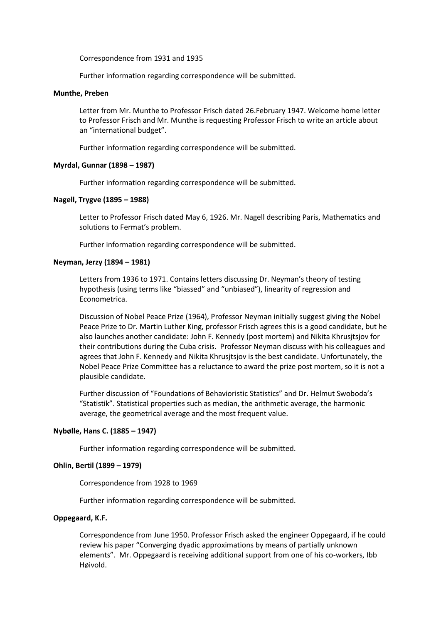Correspondence from 1931 and 1935

Further information regarding correspondence will be submitted.

# **Munthe, Preben**

Letter from Mr. Munthe to Professor Frisch dated 26.February 1947. Welcome home letter to Professor Frisch and Mr. Munthe is requesting Professor Frisch to write an article about an "international budget".

Further information regarding correspondence will be submitted.

#### **Myrdal, Gunnar (1898 – 1987)**

Further information regarding correspondence will be submitted.

#### **Nagell, Trygve (1895 – 1988)**

Letter to Professor Frisch dated May 6, 1926. Mr. Nagell describing Paris, Mathematics and solutions to Fermat's problem.

Further information regarding correspondence will be submitted.

#### **Neyman, Jerzy (1894 – 1981)**

Letters from 1936 to 1971. Contains letters discussing Dr. Neyman's theory of testing hypothesis (using terms like "biassed" and "unbiased"), linearity of regression and Econometrica.

Discussion of Nobel Peace Prize (1964), Professor Neyman initially suggest giving the Nobel Peace Prize to Dr. Martin Luther King, professor Frisch agrees this is a good candidate, but he also launches another candidate: John F. Kennedy (post mortem) and Nikita Khrusjtsjov for their contributions during the Cuba crisis. Professor Neyman discuss with his colleagues and agrees that John F. Kennedy and Nikita Khrusjtsjov is the best candidate. Unfortunately, the Nobel Peace Prize Committee has a reluctance to award the prize post mortem, so it is not a plausible candidate.

Further discussion of "Foundations of Behavioristic Statistics" and Dr. Helmut Swoboda's "Statistik". Statistical properties such as median, the arithmetic average, the harmonic average, the geometrical average and the most frequent value.

# **Nybølle, Hans C. (1885 – 1947)**

Further information regarding correspondence will be submitted.

### **Ohlin, Bertil (1899 – 1979)**

Correspondence from 1928 to 1969

Further information regarding correspondence will be submitted.

#### **Oppegaard, K.F.**

Correspondence from June 1950. Professor Frisch asked the engineer Oppegaard, if he could review his paper "Converging dyadic approximations by means of partially unknown elements". Mr. Oppegaard is receiving additional support from one of his co-workers, Ibb Høivold.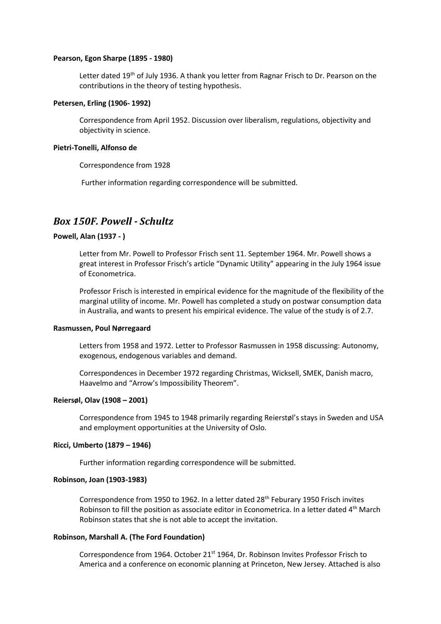#### **Pearson, Egon Sharpe (1895 - 1980)**

Letter dated 19<sup>th</sup> of July 1936. A thank you letter from Ragnar Frisch to Dr. Pearson on the contributions in the theory of testing hypothesis.

#### **Petersen, Erling (1906- 1992)**

Correspondence from April 1952. Discussion over liberalism, regulations, objectivity and objectivity in science.

#### **Pietri-Tonelli, Alfonso de**

Correspondence from 1928

Further information regarding correspondence will be submitted.

# *Box 150F. Powell - Schultz*

# **Powell, Alan (1937 - )**

Letter from Mr. Powell to Professor Frisch sent 11. September 1964. Mr. Powell shows a great interest in Professor Frisch's article "Dynamic Utility" appearing in the July 1964 issue of Econometrica.

Professor Frisch is interested in empirical evidence for the magnitude of the flexibility of the marginal utility of income. Mr. Powell has completed a study on postwar consumption data in Australia, and wants to present his empirical evidence. The value of the study is of 2.7.

#### **Rasmussen, Poul Nørregaard**

Letters from 1958 and 1972. Letter to Professor Rasmussen in 1958 discussing: Autonomy, exogenous, endogenous variables and demand.

Correspondences in December 1972 regarding Christmas, Wicksell, SMEK, Danish macro, Haavelmo and "Arrow's Impossibility Theorem".

#### **Reiersøl, Olav (1908 – 2001)**

Correspondence from 1945 to 1948 primarily regarding Reierstøl's stays in Sweden and USA and employment opportunities at the University of Oslo.

#### **Ricci, Umberto (1879 – 1946)**

Further information regarding correspondence will be submitted.

#### **Robinson, Joan (1903-1983)**

Correspondence from 1950 to 1962. In a letter dated 28<sup>th</sup> Feburary 1950 Frisch invites Robinson to fill the position as associate editor in Econometrica. In a letter dated 4<sup>th</sup> March Robinson states that she is not able to accept the invitation.

#### **Robinson, Marshall A. (The Ford Foundation)**

Correspondence from 1964. October  $21<sup>st</sup>$  1964, Dr. Robinson Invites Professor Frisch to America and a conference on economic planning at Princeton, New Jersey. Attached is also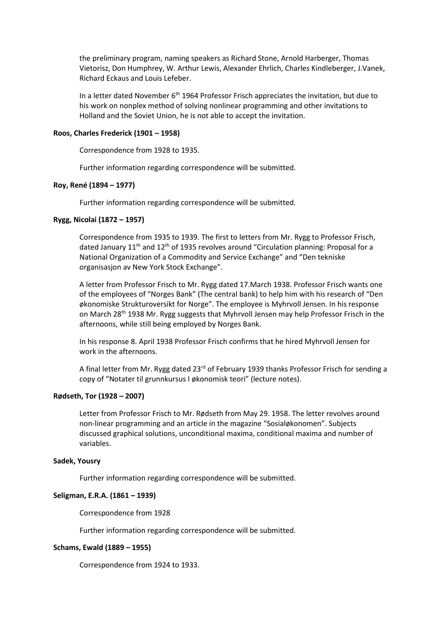the preliminary program, naming speakers as Richard Stone, Arnold Harberger, Thomas Vietorisz, Don Humphrey, W. Arthur Lewis, Alexander Ehrlich, Charles Kindleberger, J.Vanek, Richard Eckaus and Louis Lefeber.

In a letter dated November  $6<sup>th</sup>$  1964 Professor Frisch appreciates the invitation, but due to his work on nonplex method of solving nonlinear programming and other invitations to Holland and the Soviet Union, he is not able to accept the invitation.

# **Roos, Charles Frederick (1901 – 1958)**

Correspondence from 1928 to 1935.

Further information regarding correspondence will be submitted.

# **Roy, René (1894 – 1977)**

Further information regarding correspondence will be submitted.

# **Rygg, Nicolai (1872 – 1957)**

Correspondence from 1935 to 1939. The first to letters from Mr. Rygg to Professor Frisch, dated January  $11<sup>th</sup>$  and  $12<sup>th</sup>$  of 1935 revolves around "Circulation planning: Proposal for a National Organization of a Commodity and Service Exchange" and "Den tekniske organisasjon av New York Stock Exchange".

A letter from Professor Frisch to Mr. Rygg dated 17.March 1938. Professor Frisch wants one of the employees of "Norges Bank" (The central bank) to help him with his research of "Den økonomiske Strukturoversikt for Norge". The employee is Myhrvoll Jensen. In his response on March 28th 1938 Mr. Rygg suggests that Myhrvoll Jensen may help Professor Frisch in the afternoons, while still being employed by Norges Bank.

In his response 8. April 1938 Professor Frisch confirms that he hired Myhrvoll Jensen for work in the afternoons.

A final letter from Mr. Rygg dated 23<sup>rd</sup> of February 1939 thanks Professor Frisch for sending a copy of "Notater til grunnkursus I økonomisk teori" (lecture notes).

#### **Rødseth, Tor (1928 – 2007)**

Letter from Professor Frisch to Mr. Rødseth from May 29. 1958. The letter revolves around non-linear programming and an article in the magazine "Sosialøkonomen". Subjects discussed graphical solutions, unconditional maxima, conditional maxima and number of variables.

#### **Sadek, Yousry**

Further information regarding correspondence will be submitted.

#### **Seligman, E.R.A. (1861 – 1939)**

Correspondence from 1928

Further information regarding correspondence will be submitted.

#### **Schams, Ewald (1889 – 1955)**

Correspondence from 1924 to 1933.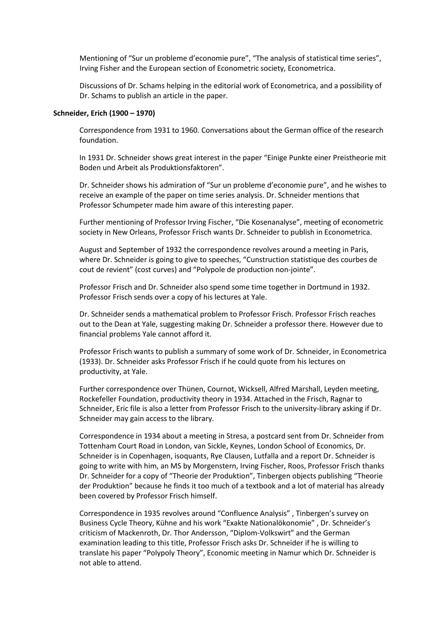Mentioning of "Sur un probleme d'economie pure", "The analysis of statistical time series", Irving Fisher and the European section of Econometric society, Econometrica.

Discussions of Dr. Schams helping in the editorial work of Econometrica, and a possibility of Dr. Schams to publish an article in the paper.

#### **Schneider, Erich (1900 – 1970)**

Correspondence from 1931 to 1960. Conversations about the German office of the research foundation.

In 1931 Dr. Schneider shows great interest in the paper "Einige Punkte einer Preistheorie mit Boden und Arbeit als Produktionsfaktoren".

Dr. Schneider shows his admiration of "Sur un probleme d'economie pure", and he wishes to receive an example of the paper on time series analysis. Dr. Schneider mentions that Professor Schumpeter made him aware of this interesting paper.

Further mentioning of Professor Irving Fischer, "Die Kosenanalyse", meeting of econometric society in New Orleans, Professor Frisch wants Dr. Schneider to publish in Econometrica.

August and September of 1932 the correspondence revolves around a meeting in Paris, where Dr. Schneider is going to give to speeches, "Cunstruction statistique des courbes de cout de revient" (cost curves) and "Polypole de production non-jointe".

Professor Frisch and Dr. Schneider also spend some time together in Dortmund in 1932. Professor Frisch sends over a copy of his lectures at Yale.

Dr. Schneider sends a mathematical problem to Professor Frisch. Professor Frisch reaches out to the Dean at Yale, suggesting making Dr. Schneider a professor there. However due to financial problems Yale cannot afford it.

Professor Frisch wants to publish a summary of some work of Dr. Schneider, in Econometrica (1933). Dr. Schneider asks Professor Frisch if he could quote from his lectures on productivity, at Yale.

Further correspondence over Thünen, Cournot, Wicksell, Alfred Marshall, Leyden meeting, Rockefeller Foundation, productivity theory in 1934. Attached in the Frisch, Ragnar to Schneider, Eric file is also a letter from Professor Frisch to the university-library asking if Dr. Schneider may gain access to the library.

Correspondence in 1934 about a meeting in Stresa, a postcard sent from Dr. Schneider from Tottenham Court Road in London, van Sickle, Keynes, London School of Economics, Dr. Schneider is in Copenhagen, isoquants, Rye Clausen, Lutfalla and a report Dr. Schneider is going to write with him, an MS by Morgenstern, Irving Fischer, Roos, Professor Frisch thanks Dr. Schneider for a copy of "Theorie der Produktion", Tinbergen objects publishing "Theorie der Produktion" because he finds it too much of a textbook and a lot of material has already been covered by Professor Frisch himself.

Correspondence in 1935 revolves around "Confluence Analysis" , Tinbergen's survey on Business Cycle Theory, Kühne and his work "Exakte Nationalökonomie" , Dr. Schneider's criticism of Mackenroth, Dr. Thor Andersson, "Diplom-Volkswirt" and the German examination leading to this title, Professor Frisch asks Dr. Schneider if he is willing to translate his paper "Polypoly Theory", Economic meeting in Namur which Dr. Schneider is not able to attend.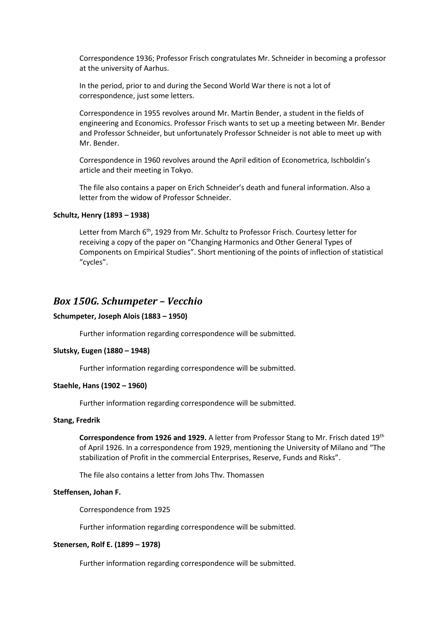Correspondence 1936; Professor Frisch congratulates Mr. Schneider in becoming a professor at the university of Aarhus.

In the period, prior to and during the Second World War there is not a lot of correspondence, just some letters.

Correspondence in 1955 revolves around Mr. Martin Bender, a student in the fields of engineering and Economics. Professor Frisch wants to set up a meeting between Mr. Bender and Professor Schneider, but unfortunately Professor Schneider is not able to meet up with Mr. Bender.

Correspondence in 1960 revolves around the April edition of Econometrica, Ischboldin's article and their meeting in Tokyo.

The file also contains a paper on Erich Schneider's death and funeral information. Also a letter from the widow of Professor Schneider.

### **Schultz, Henry (1893 – 1938)**

Letter from March 6<sup>th</sup>, 1929 from Mr. Schultz to Professor Frisch. Courtesy letter for receiving a copy of the paper on "Changing Harmonics and Other General Types of Components on Empirical Studies". Short mentioning of the points of inflection of statistical "cycles".

# *Box 150G. Schumpeter – Vecchio*

#### **Schumpeter, Joseph Alois (1883 – 1950)**

Further information regarding correspondence will be submitted.

#### **Slutsky, Eugen (1880 – 1948)**

Further information regarding correspondence will be submitted.

#### **Staehle, Hans (1902 – 1960)**

Further information regarding correspondence will be submitted.

#### **Stang, Fredrik**

**Correspondence from 1926 and 1929.** A letter from Professor Stang to Mr. Frisch dated 19th of April 1926. In a correspondence from 1929, mentioning the University of Milano and "The stabilization of Profit in the commercial Enterprises, Reserve, Funds and Risks".

The file also contains a letter from Johs Thv. Thomassen

#### **Steffensen, Johan F.**

Correspondence from 1925

Further information regarding correspondence will be submitted.

#### **Stenersen, Rolf E. (1899 – 1978)**

Further information regarding correspondence will be submitted.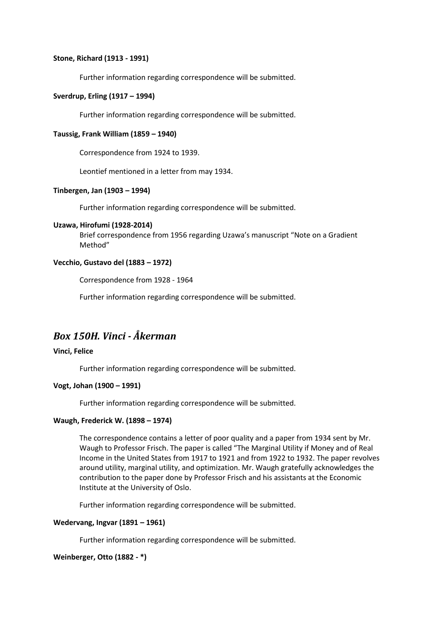# **Stone, Richard (1913 - 1991)**

Further information regarding correspondence will be submitted.

# **Sverdrup, Erling (1917 – 1994)**

Further information regarding correspondence will be submitted.

# **Taussig, Frank William (1859 – 1940)**

Correspondence from 1924 to 1939.

Leontief mentioned in a letter from may 1934.

# **Tinbergen, Jan (1903 – 1994)**

Further information regarding correspondence will be submitted.

#### **Uzawa, Hirofumi (1928-2014)**

Brief correspondence from 1956 regarding Uzawa's manuscript "Note on a Gradient Method"

#### **Vecchio, Gustavo del (1883 – 1972)**

Correspondence from 1928 - 1964

Further information regarding correspondence will be submitted.

# *Box 150H. Vinci - Åkerman*

# **Vinci, Felice**

Further information regarding correspondence will be submitted.

# **Vogt, Johan (1900 – 1991)**

Further information regarding correspondence will be submitted.

# **Waugh, Frederick W. (1898 – 1974)**

The correspondence contains a letter of poor quality and a paper from 1934 sent by Mr. Waugh to Professor Frisch. The paper is called "The Marginal Utility if Money and of Real Income in the United States from 1917 to 1921 and from 1922 to 1932. The paper revolves around utility, marginal utility, and optimization. Mr. Waugh gratefully acknowledges the contribution to the paper done by Professor Frisch and his assistants at the Economic Institute at the University of Oslo.

Further information regarding correspondence will be submitted.

# **Wedervang, Ingvar (1891 – 1961)**

Further information regarding correspondence will be submitted.

#### **Weinberger, Otto (1882 - \*)**